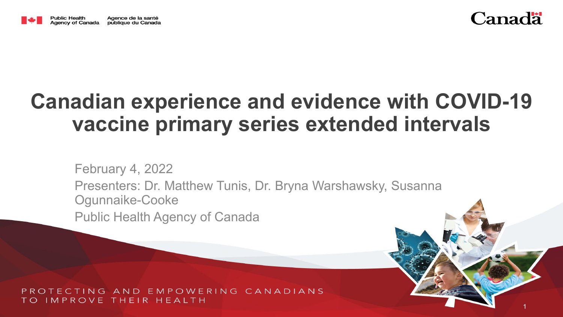



1

# **Canadian experience and evidence with COVID-19 vaccine primary series extended intervals**

February 4, 2022 Presenters: Dr. Matthew Tunis, Dr. Bryna Warshawsky, Susanna Ogunnaike-Cooke

Public Health Agency of Canada

NG AND EMPOWERING CANADIANS IMPROVE THEIR HEAITH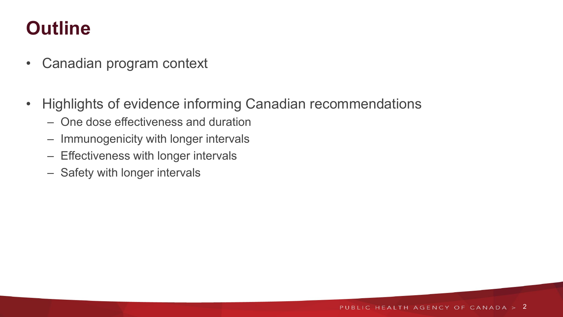# **Outline**

- Canadian program context
- Highlights of evidence informing Canadian recommendations
	- One dose effectiveness and duration
	- Immunogenicity with longer intervals
	- Effectiveness with longer intervals
	- Safety with longer intervals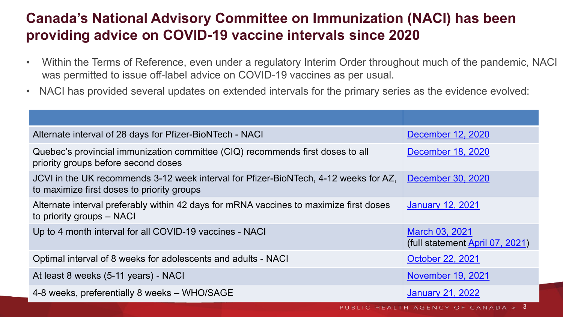# **Canada's National Advisory Committee on Immunization (NACI) has been providing advice on COVID-19 vaccine intervals since 2020**

- Within the Terms of Reference, even under a regulatory Interim Order throughout much of the pandemic, NACI was permitted to issue off-label advice on COVID-19 vaccines as per usual.
- NACI has provided several updates on extended intervals for the primary series as the evidence evolved:

| Alternate interval of 28 days for Pfizer-BioNTech - NACI                                                                           | December 12, 2020                                 |
|------------------------------------------------------------------------------------------------------------------------------------|---------------------------------------------------|
| Quebec's provincial immunization committee (CIQ) recommends first doses to all<br>priority groups before second doses              | December 18, 2020                                 |
| JCVI in the UK recommends 3-12 week interval for Pfizer-BioNTech, 4-12 weeks for AZ,<br>to maximize first doses to priority groups | December 30, 2020                                 |
| Alternate interval preferably within 42 days for mRNA vaccines to maximize first doses<br>to priority groups – NACI                | <b>January 12, 2021</b>                           |
| Up to 4 month interval for all COVID-19 vaccines - NACI                                                                            | March 03, 2021<br>(full statement April 07, 2021) |
| Optimal interval of 8 weeks for adolescents and adults - NACI                                                                      | October 22, 2021                                  |
| At least 8 weeks (5-11 years) - NACI                                                                                               | <b>November 19, 2021</b>                          |
| 4-8 weeks, preferentially 8 weeks - WHO/SAGE                                                                                       | <b>January 21, 2022</b>                           |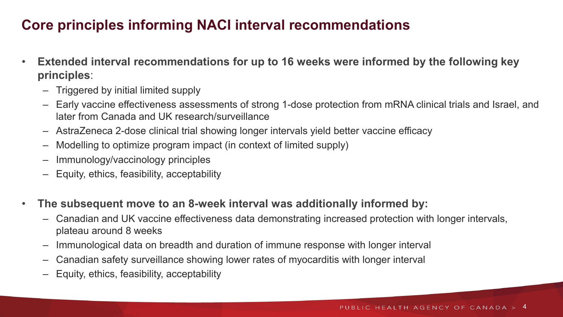# **Core principles informing NACI interval recommendations**

- **Extended interval recommendations for up to 16 weeks were informed by the following key principles**:
	- Triggered by initial limited supply
	- Early vaccine effectiveness assessments of strong 1-dose protection from mRNA clinical trials and Israel, and later from Canada and UK research/surveillance
	- AstraZeneca 2-dose clinical trial showing longer intervals yield better vaccine efficacy
	- Modelling to optimize program impact (in context of limited supply)
	- Immunology/vaccinology principles
	- Equity, ethics, feasibility, acceptability
- **The subsequent move to an 8-week interval was additionally informed by:**
	- Canadian and UK vaccine effectiveness data demonstrating increased protection with longer intervals, plateau around 8 weeks
	- Immunological data on breadth and duration of immune response with longer interval
	- Canadian safety surveillance showing lower rates of myocarditis with longer interval
	- Equity, ethics, feasibility, acceptability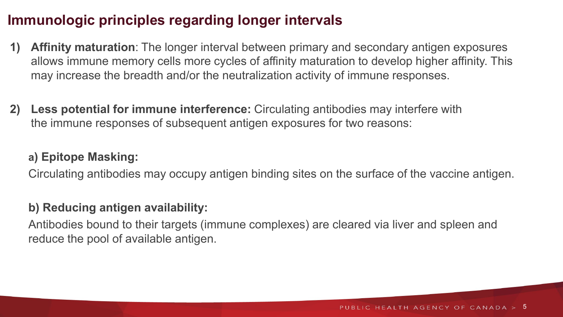## **Immunologic principles regarding longer intervals**

- **1) Affinity maturation**: The longer interval between primary and secondary antigen exposures allows immune memory cells more cycles of affinity maturation to develop higher affinity. This may increase the breadth and/or the neutralization activity of immune responses.
- **2) Less potential for immune interference:** Circulating antibodies may interfere with the immune responses of subsequent antigen exposures for two reasons:

### **a) Epitope Masking:**

Circulating antibodies may occupy antigen binding sites on the surface of the vaccine antigen.

### **b) Reducing antigen availability:**

Antibodies bound to their targets (immune complexes) are cleared via liver and spleen and reduce the pool of available antigen.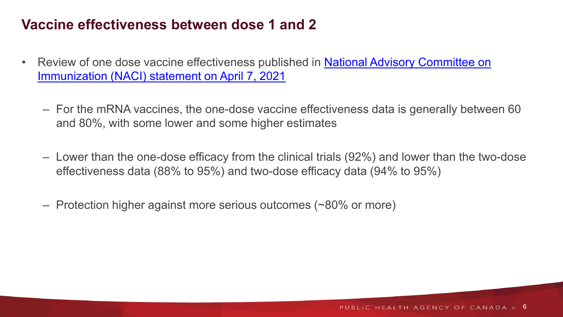### **Vaccine effectiveness between dose 1 and 2**

- Review of one dose vaccine effectiveness published in **National Advisory Committee on** Immunization (NACI) statement on April 7, 2021
	- For the mRNA vaccines, the one-dose vaccine effectiveness data is generally between 60 and 80%, with some lower and some higher estimates
	- Lower than the one-dose efficacy from the clinical trials (92%) and lower than the two-dose effectiveness data (88% to 95%) and two-dose efficacy data (94% to 95%)
	- Protection higher against more serious outcomes (~80% or more)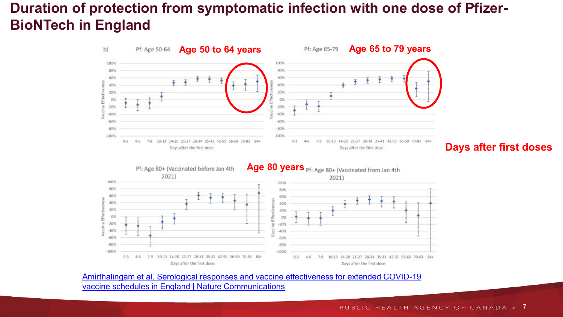# **Duration of protection from symptomatic infection with one dose of Pfizer-BioNTech in England**







Amirthalingam [et al. Serological responses and vaccine effectiveness for extended COVID-19](https://www.nature.com/articles/s41467-021-27410-5#Fig2) vaccine schedules in England | Nature Communications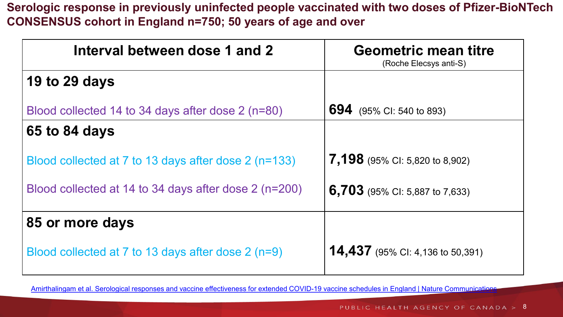**Serologic response in previously uninfected people vaccinated with two doses of Pfizer-BioNTech CONSENSUS cohort in England n=750; 50 years of age and over**

| Interval between dose 1 and 2                         | <b>Geometric mean titre</b><br>(Roche Elecsys anti-S) |
|-------------------------------------------------------|-------------------------------------------------------|
| 19 to 29 days                                         |                                                       |
| Blood collected 14 to 34 days after dose 2 (n=80)     | 694<br>(95% CI: 540 to 893)                           |
| 65 to 84 days                                         |                                                       |
| Blood collected at 7 to 13 days after dose 2 (n=133)  | 7,198 (95% CI: 5,820 to 8,902)                        |
| Blood collected at 14 to 34 days after dose 2 (n=200) | <b>6,703</b> (95% CI: 5,887 to 7,633)                 |
| 85 or more days                                       |                                                       |
| Blood collected at 7 to 13 days after dose 2 (n=9)    | <b>14,437</b> (95% CI: 4,136 to 50,391)               |

Amirthalingam [et al. Serological responses and vaccine effectiveness for extended COVID-19 vaccine schedules in England | Nature Communications](https://www.nature.com/articles/s41467-021-27410-5#Fig2)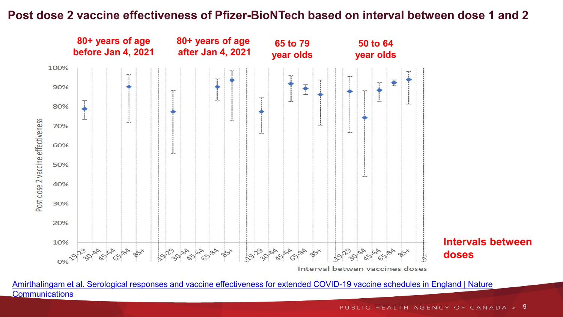### **Post dose 2 vaccine effectiveness of Pfizer-BioNTech based on interval between dose 1 and 2**



Amirthalingam [et al. Serological responses and vaccine effectiveness for extended COVID-19 vaccine schedules in England | Nature](https://www.nature.com/articles/s41467-021-27410-5#Fig2) **Communications** 

PUBLIC HEALTH AGENCY OF CANADA > 9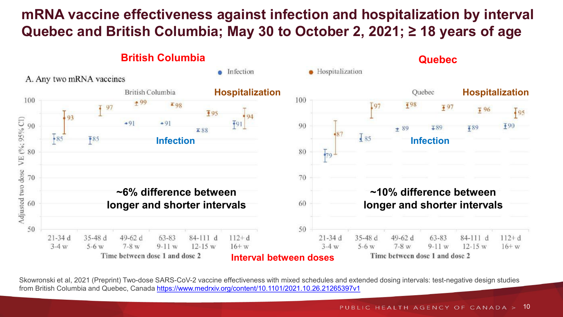# **mRNA vaccine effectiveness against infection and hospitalization by interval Quebec and British Columbia; May 30 to October 2, 2021; ≥ 18 years of age**



Skowronski et al, 2021 (Preprint) Two-dose SARS-CoV-2 vaccine effectiveness with mixed schedules and extended dosing intervals: test-negative design studies from British Columbia and Quebec, Canada<https://www.medrxiv.org/content/10.1101/2021.10.26.21265397v1>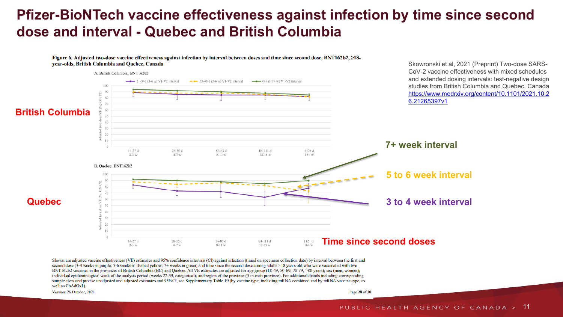## **Pfizer-BioNTech vaccine effectiveness against infection by time since second dose and interval - Quebec and British Columbia**

Figure 6. Adjusted two-dose vaccine effectiveness against infection by interval between doses and time since second dose, BNT162b2, 218year-olds, British Columbia and Quebec, Canada



Shown are adjusted vaccine effectiveness (VE) estimates and 95% confidence intervals (CI) against infection (timed on specimen collection date) by interval between the first and second dose (3-4 weeks in purple; 5-6 weeks in dashed yellow; 7+ weeks in green) and time since the second dose among adults ≥18 years old who were vaccinated with two BNT162b2 vaccines in the provinces of British Columbia (BC) and Quebec. All VE estimates are adjusted for age group (18-49, 50-69, 70-79,  $\geq 80$  years); sex (men, women); individual epidemiological week of the analysis period (weeks 22-39, categorical); and region of the province (5 in each province). For additional details including corresponding sample sizes and precise unadjusted and adjusted estimates and 95%CI, see Supplementary Table 19 (by vaccine type, including mRNA combined and by mRNA vaccine type, as well as ChAdOx1).

Version: 26 October, 2021

Page 28 of 28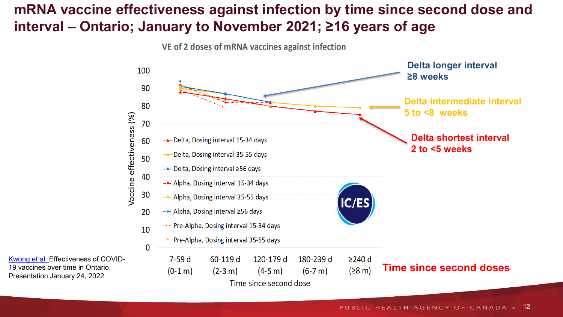# **mRNA vaccine effectiveness against infection by time since second dose and interval – Ontario; January to November 2021; ≥16 years of age**

VE of 2 doses of mRNA vaccines against infection



[Kwong et al. E](https://www.covid19immunitytaskforce.ca/wp-content/uploads/2022/01/citf-boosters-seminar-en.pdf)ffectiveness of COVID-19 vaccines over time in Ontario. Presentation January 24, 2022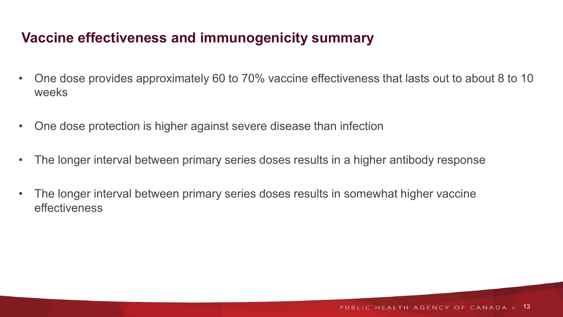# **Vaccine effectiveness and immunogenicity summary**

- One dose provides approximately 60 to 70% vaccine effectiveness that lasts out to about 8 to 10 weeks
- One dose protection is higher against severe disease than infection
- The longer interval between primary series doses results in a higher antibody response
- The longer interval between primary series doses results in somewhat higher vaccine effectiveness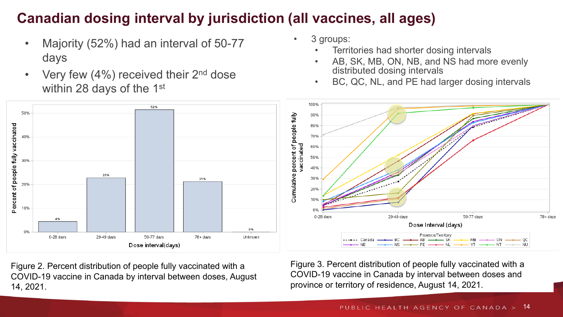# **Canadian dosing interval by jurisdiction (all vaccines, all ages)**

- Majority (52%) had an interval of 50-77 days
- Very few  $(4\%)$  received their  $2<sup>nd</sup>$  dose within 28 days of the 1<sup>st</sup>
- 3 groups:
	- Territories had shorter dosing intervals
	- AB, SK, MB, ON, NB, and NS had more evenly distributed dosing intervals
	- BC, QC, NL, and PE had larger dosing intervals



Figure 2. Percent distribution of people fully vaccinated with a COVID-19 vaccine in Canada by interval between doses, August 14, 2021.

Figure 3. Percent distribution of people fully vaccinated with a COVID-19 vaccine in Canada by interval between doses and province or territory of residence, August 14, 2021.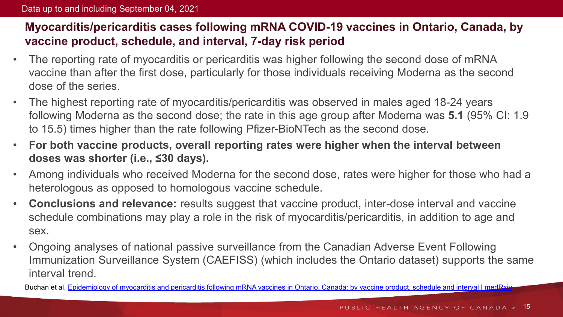### **Myocarditis/pericarditis cases following mRNA COVID-19 vaccines in Ontario, Canada, by vaccine product, schedule, and interval, 7-day risk period**

- The reporting rate of myocarditis or pericarditis was higher following the second dose of mRNA vaccine than after the first dose, particularly for those individuals receiving Moderna as the second dose of the series.
- The highest reporting rate of myocarditis/pericarditis was observed in males aged 18-24 years following Moderna as the second dose; the rate in this age group after Moderna was **5.1** (95% CI: 1.9 to 15.5) times higher than the rate following Pfizer-BioNTech as the second dose.
- **For both vaccine products, overall reporting rates were higher when the interval between doses was shorter (i.e., ≤30 days).**
- Among individuals who received Moderna for the second dose, rates were higher for those who had a heterologous as opposed to homologous vaccine schedule.
- **Conclusions and relevance:** results suggest that vaccine product, inter-dose interval and vaccine schedule combinations may play a role in the risk of myocarditis/pericarditis, in addition to age and sex.
- Ongoing analyses of national passive surveillance from the Canadian Adverse Event Following Immunization Surveillance System (CAEFISS) (which includes the Ontario dataset) supports the same interval trend.

Buchan et al, [Epidemiology of myocarditis and pericarditis following mRNA vaccines in Ontario, Canada: by vaccine product, schedule and interval | medRxiv](https://www.medrxiv.org/content/10.1101/2021.12.02.21267156v1)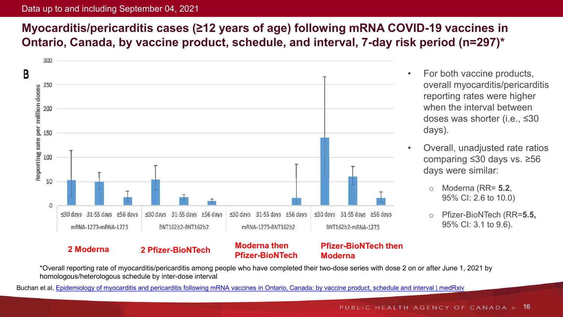#### Data up to and including September 04, 2021

### **Myocarditis/pericarditis cases (≥12 years of age) following mRNA COVID-19 vaccines in Ontario, Canada, by vaccine product, schedule, and interval, 7-day risk period (n=297)\***



- For both vaccine products, overall myocarditis/pericarditis reporting rates were higher when the interval between doses was shorter (i.e., ≤30 days).
- Overall, unadjusted rate ratios comparing ≤30 days vs. ≥56 days were similar:
	- o Moderna (RR= **5.2**, 95% CI: 2.6 to 10.0)
	- o Pfizer-BioNTech (RR=**5.5,**  95% CI: 3.1 to 9.6).

\*Overall reporting rate of myocarditis/pericarditis among people who have completed their two-dose series with dose 2 on or after June 1, 2021 by homologous/heterologous schedule by inter-dose interval

Buchan et al, [Epidemiology of myocarditis and pericarditis following mRNA vaccines in Ontario, Canada: by vaccine product, schedule and interval | medRxiv](https://www.medrxiv.org/content/10.1101/2021.12.02.21267156v1)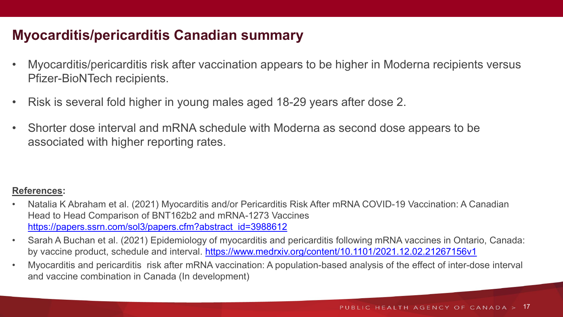### **Myocarditis/pericarditis Canadian summary**

- Myocarditis/pericarditis risk after vaccination appears to be higher in Moderna recipients versus Pfizer-BioNTech recipients.
- Risk is several fold higher in young males aged 18-29 years after dose 2.
- Shorter dose interval and mRNA schedule with Moderna as second dose appears to be associated with higher reporting rates.

#### **References:**

- Natalia K Abraham et al. (2021) Myocarditis and/or Pericarditis Risk After mRNA COVID-19 Vaccination: A Canadian Head to Head Comparison of BNT162b2 and mRNA-1273 Vaccines [https://papers.ssrn.com/sol3/papers.cfm?abstract\\_id=3988612](https://papers.ssrn.com/sol3/papers.cfm?abstract_id=3988612)
- Sarah A Buchan et al. (2021) Epidemiology of myocarditis and pericarditis following mRNA vaccines in Ontario, Canada: by vaccine product, schedule and interval. <https://www.medrxiv.org/content/10.1101/2021.12.02.21267156v1>
- Myocarditis and pericarditis risk after mRNA vaccination: A population-based analysis of the effect of inter-dose interval and vaccine combination in Canada (In development)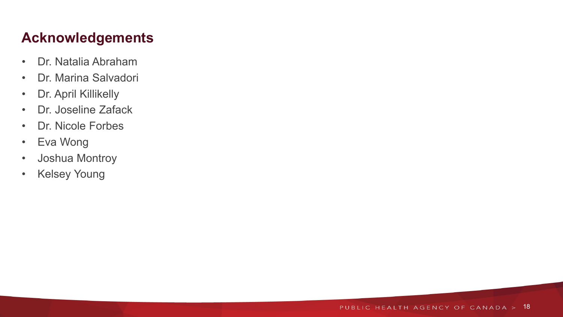# **Acknowledgements**

- Dr. Natalia Abraham
- Dr. Marina Salvadori
- Dr. April Killikelly
- Dr. Joseline Zafack
- Dr. Nicole Forbes
- Eva Wong
- Joshua Montroy
- Kelsey Young

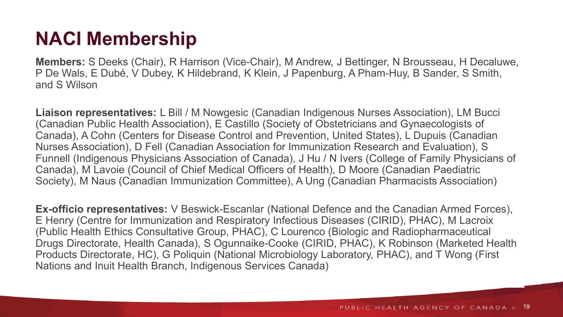# **NACI Membership**

**Members:** S Deeks (Chair), R Harrison (Vice-Chair), M Andrew, J Bettinger, N Brousseau, H Decaluwe, P De Wals, E Dubé, V Dubey, K Hildebrand, K Klein, J Papenburg, A Pham-Huy, B Sander, S Smith, and S Wilson

**Liaison representatives:** L Bill / M Nowgesic (Canadian Indigenous Nurses Association), LM Bucci (Canadian Public Health Association), E Castillo (Society of Obstetricians and Gynaecologists of Canada), A Cohn (Centers for Disease Control and Prevention, United States), L Dupuis (Canadian Nurses Association), D Fell (Canadian Association for Immunization Research and Evaluation), S Funnell (Indigenous Physicians Association of Canada), J Hu / N Ivers (College of Family Physicians of Canada), M Lavoie (Council of Chief Medical Officers of Health), D Moore (Canadian Paediatric Society), M Naus (Canadian Immunization Committee), A Ung (Canadian Pharmacists Association)

**Ex-officio representatives:** V Beswick-Escanlar (National Defence and the Canadian Armed Forces), E Henry (Centre for Immunization and Respiratory Infectious Diseases (CIRID), PHAC), M Lacroix (Public Health Ethics Consultative Group, PHAC), C Lourenco (Biologic and Radiopharmaceutical Drugs Directorate, Health Canada), S Ogunnaike-Cooke (CIRID, PHAC), K Robinson (Marketed Health Products Directorate, HC), G Poliquin (National Microbiology Laboratory, PHAC), and T Wong (First Nations and Inuit Health Branch, Indigenous Services Canada)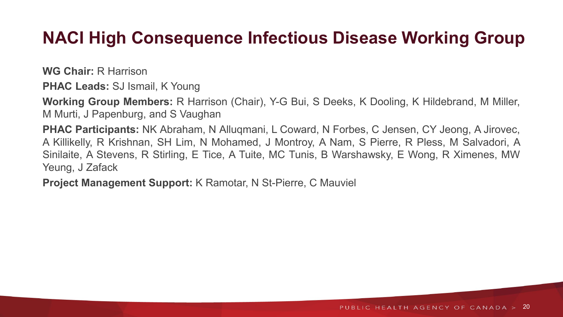# **NACI High Consequence Infectious Disease Working Group**

**WG Chair:** R Harrison

**PHAC Leads:** SJ Ismail, K Young

**Working Group Members:** R Harrison (Chair), Y-G Bui, S Deeks, K Dooling, K Hildebrand, M Miller, M Murti, J Papenburg, and S Vaughan

**PHAC Participants:** NK Abraham, N Alluqmani, L Coward, N Forbes, C Jensen, CY Jeong, A Jirovec, A Killikelly, R Krishnan, SH Lim, N Mohamed, J Montroy, A Nam, S Pierre, R Pless, M Salvadori, A Sinilaite, A Stevens, R Stirling, E Tice, A Tuite, MC Tunis, B Warshawsky, E Wong, R Ximenes, MW Yeung, J Zafack

**Project Management Support:** K Ramotar, N St-Pierre, C Mauviel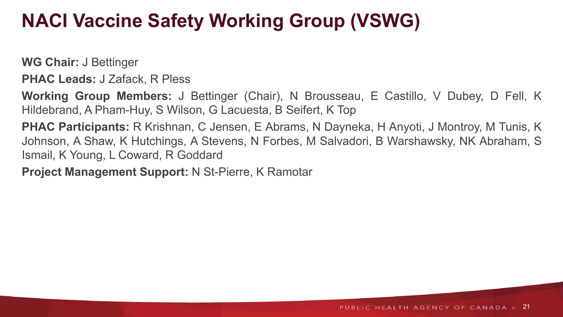# **NACI Vaccine Safety Working Group (VSWG)**

**WG Chair:** J Bettinger

**PHAC Leads:** J Zafack, R Pless

**Working Group Members:** J Bettinger (Chair), N Brousseau, E Castillo, V Dubey, D Fell, K Hildebrand, A Pham-Huy, S Wilson, G Lacuesta, B Seifert, K Top

**PHAC Participants:** R Krishnan, C Jensen, E Abrams, N Dayneka, H Anyoti, J Montroy, M Tunis, K Johnson, A Shaw, K Hutchings, A Stevens, N Forbes, M Salvadori, B Warshawsky, NK Abraham, S Ismail, K Young, L Coward, R Goddard

**Project Management Support:** N St-Pierre, K Ramotar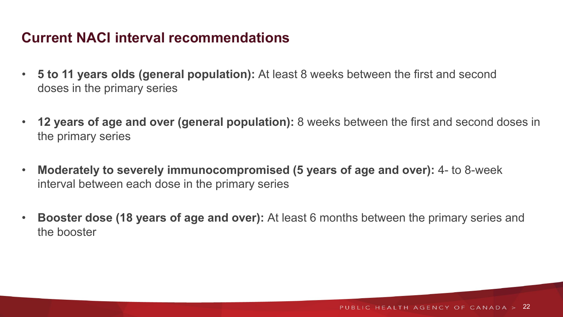## **Current NACI interval recommendations**

- **5 to 11 years olds (general population):** At least 8 weeks between the first and second doses in the primary series
- **12 years of age and over (general population):** 8 weeks between the first and second doses in the primary series
- **Moderately to severely immunocompromised (5 years of age and over):** 4- to 8-week interval between each dose in the primary series
- **Booster dose (18 years of age and over):** At least 6 months between the primary series and the booster